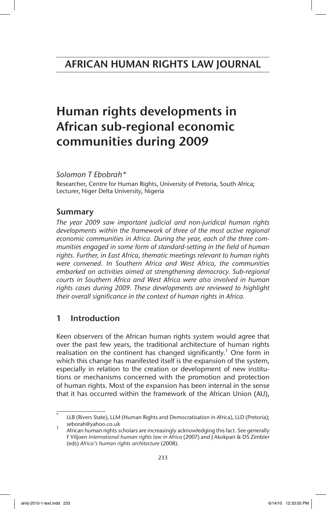# Human rights developments in African sub-regional economic communities during 2009

*Solomon T Ebobrah\**

Researcher, Centre for Human Rights, University of Pretoria, South Africa; Lecturer, Niger Delta University, Nigeria

# Summary

*The year 2009 saw important judicial and non-juridical human rights developments within the framework of three of the most active regional economic communities in Africa. During the year, each of the three communities engaged in some form of standard-setting in the field of human rights. Further, in East Africa, thematic meetings relevant to human rights were convened. In Southern Africa and West Africa, the communities embarked on activities aimed at strengthening democracy. Sub-regional courts in Southern Africa and West Africa were also involved in human rights cases during 2009. These developments are reviewed to highlight their overall significance in the context of human rights in Africa.*

# 1 Introduction

Keen observers of the African human rights system would agree that over the past few years, the traditional architecture of human rights realisation on the continent has changed significantly.<sup>1</sup> One form in which this change has manifested itself is the expansion of the system, especially in relation to the creation or development of new institutions or mechanisms concerned with the promotion and protection of human rights. Most of the expansion has been internal in the sense that it has occurred within the framework of the African Union (AU),

LLB (Rivers State), LLM (Human Rights and Democratisation in Africa), LLD (Pretoria);<br>seborah@yahoo.co.uk

African human rights scholars are increasingly acknowledging this fact. See generally F Viljoen *International human rights law in Africa* (2007) and J Akokpari & DS Zimbler (eds) *Africa's human rights architecture* (2008).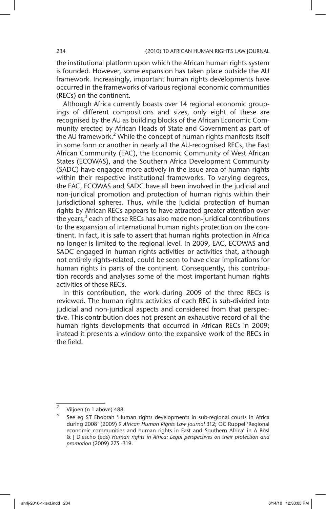the institutional platform upon which the African human rights system is founded. However, some expansion has taken place outside the AU framework. Increasingly, important human rights developments have occurred in the frameworks of various regional economic communities (RECs) on the continent.

Although Africa currently boasts over 14 regional economic groupings of different compositions and sizes, only eight of these are recognised by the AU as building blocks of the African Economic Community erected by African Heads of State and Government as part of the AU framework.<sup>2</sup> While the concept of human rights manifests itself in some form or another in nearly all the AU-recognised RECs, the East African Community (EAC), the Economic Community of West African States (ECOWAS), and the Southern Africa Development Community (SADC) have engaged more actively in the issue area of human rights within their respective institutional frameworks. To varying degrees, the EAC, ECOWAS and SADC have all been involved in the judicial and non-juridical promotion and protection of human rights within their jurisdictional spheres. Thus, while the judicial protection of human rights by African RECs appears to have attracted greater attention over the years, $3$  each of these RECs has also made non-juridical contributions to the expansion of international human rights protection on the continent. In fact, it is safe to assert that human rights protection in Africa no longer is limited to the regional level. In 2009, EAC, ECOWAS and SADC engaged in human rights activities or activities that, although not entirely rights-related, could be seen to have clear implications for human rights in parts of the continent. Consequently, this contribution records and analyses some of the most important human rights activities of these RECs.

In this contribution, the work during 2009 of the three RECs is reviewed. The human rights activities of each REC is sub-divided into judicial and non-juridical aspects and considered from that perspective. This contribution does not present an exhaustive record of all the human rights developments that occurred in African RECs in 2009; instead it presents a window onto the expansive work of the RECs in the field.

<sup>&</sup>lt;sup>2</sup> Viljoen (n 1 above) 488.

<sup>3</sup> See eg ST Ebobrah 'Human rights developments in sub-regional courts in Africa during 2008' (2009) 9 *African Human Rights Law Journal* 312; OC Ruppel 'Regional economic communities and human rights in East and Southern Africa' in A Bösl & J Diescho (eds) *Human rights in Africa: Legal perspectives on their protection and promotion* (2009) 275 -319.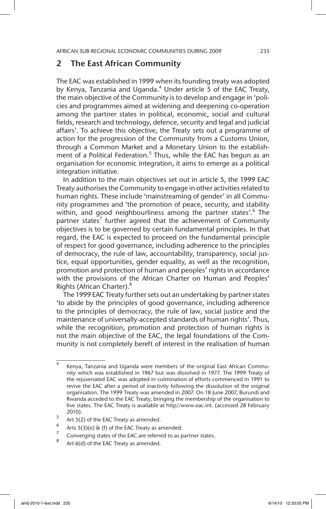# 2 The East African Community

The EAC was established in 1999 when its founding treaty was adopted by Kenya, Tanzania and Uganda.<sup>4</sup> Under article 5 of the EAC Treaty, the main objective of the Community is to develop and engage in 'policies and programmes aimed at widening and deepening co-operation among the partner states in political, economic, social and cultural fields, research and technology, defence, security and legal and judicial affairs'. To achieve this objective, the Treaty sets out a programme of action for the progression of the Community from a Customs Union, through a Common Market and a Monetary Union to the establishment of a Political Federation.<sup>5</sup> Thus, while the EAC has begun as an organisation for economic integration, it aims to emerge as a political integration initiative.

In addition to the main objectives set out in article 5, the 1999 EAC Treaty authorises the Community to engage in other activities related to human rights. These include 'mainstreaming of gender' in all Community programmes and 'the promotion of peace, security, and stability within, and good neighbourliness among the partner states'.<sup>6</sup> The partner states<sup>7</sup> further agreed that the achievement of Community objectives is to be governed by certain fundamental principles. In that regard, the EAC is expected to proceed on the fundamental principle of respect for good governance, including adherence to the principles of democracy, the rule of law, accountability, transparency, social justice, equal opportunities, gender equality, as well as the recognition, promotion and protection of human and peoples' rights in accordance with the provisions of the African Charter on Human and Peoples' Rights (African Charter).<sup>8</sup>

The 1999 EAC Treaty further sets out an undertaking by partner states 'to abide by the principles of good governance, including adherence to the principles of democracy, the rule of law, social justice and the maintenance of universally-accepted standards of human rights'. Thus, while the recognition, promotion and protection of human rights is not the main objective of the EAC, the legal foundations of the Community is not completely bereft of interest in the realisation of human

<sup>4</sup> Kenya, Tanzania and Uganda were members of the original East African Community which was established in 1967 but was dissolved in 1977. The 1999 Treaty of the rejuvenated EAC was adopted in culmination of efforts commenced in 1991 to revive the EAC after a period of inactivity following the dissolution of the original organisation. The 1999 Treaty was amended in 2007. On 18 June 2007, Burundi and Rwanda acceded to the EAC Treaty, bringing the membership of the organisation to five states. The EAC Treaty is available at http//www.eac.int. (accessed 28 February 2010).

 $\frac{5}{6}$  Art 5(2) of the EAC Treaty as amended.

<sup>&</sup>lt;sup>6</sup> Arts 5(3)(e) & (f) of the EAC Treaty as amended.

<sup>&</sup>lt;sup>2</sup> Converging states of the EAC are referred to as partner states.

Art 6(d) of the EAC Treaty as amended.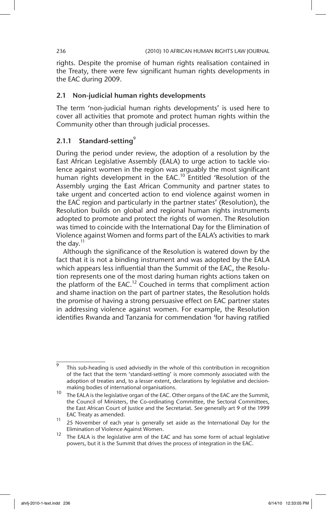rights. Despite the promise of human rights realisation contained in the Treaty, there were few significant human rights developments in the EAC during 2009.

### 2.1 Non-judicial human rights developments

The term 'non-judicial human rights developments' is used here to cover all activities that promote and protect human rights within the Community other than through judicial processes.

# 2.1.1 Standard-setting<sup>9</sup>

During the period under review, the adoption of a resolution by the East African Legislative Assembly (EALA) to urge action to tackle violence against women in the region was arguably the most significant human rights development in the EAC.<sup>10</sup> Entitled 'Resolution of the Assembly urging the East African Community and partner states to take urgent and concerted action to end violence against women in the EAC region and particularly in the partner states' (Resolution), the Resolution builds on global and regional human rights instruments adopted to promote and protect the rights of women. The Resolution was timed to coincide with the International Day for the Elimination of Violence against Women and forms part of the EALA's activities to mark the day. $11$ 

Although the significance of the Resolution is watered down by the fact that it is not a binding instrument and was adopted by the EALA which appears less influential than the Summit of the EAC, the Resolution represents one of the most daring human rights actions taken on the platform of the EAC.<sup>12</sup> Couched in terms that compliment action and shame inaction on the part of partner states, the Resolution holds the promise of having a strong persuasive effect on EAC partner states in addressing violence against women. For example, the Resolution identifies Rwanda and Tanzania for commendation 'for having ratified

This sub-heading is used advisedly in the whole of this contribution in recognition of the fact that the term 'standard-setting' is more commonly associated with the adoption of treaties and, to a lesser extent, declarations by legislative and decisionmaking bodies of international organisations.

<sup>10</sup> The EALA is the legislative organ of the EAC. Other organs of the EAC are the Summit, the Council of Ministers, the Co-ordinating Committee, the Sectoral Committees, the East African Court of Justice and the Secretariat. See generally art 9 of the 1999 EAC Treaty as amended.

 $\frac{11}{25}$  November of each year is generally set aside as the International Day for the Elimination of Violence Against Women.

<sup>&</sup>lt;sup>12</sup> The EALA is the legislative arm of the EAC and has some form of actual legislative powers, but it is the Summit that drives the process of integration in the EAC.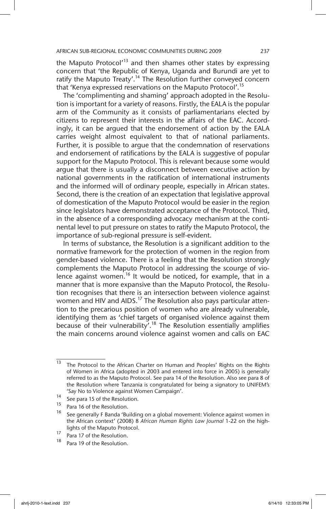the Maputo Protocol<sup> $13$ </sup> and then shames other states by expressing concern that 'the Republic of Kenya, Uganda and Burundi are yet to ratify the Maputo Treaty'.<sup>14</sup> The Resolution further conveyed concern that 'Kenya expressed reservations on the Maputo Protocol'.<sup>15</sup>

The 'complimenting and shaming' approach adopted in the Resolution is important for a variety of reasons. Firstly, the EALA is the popular arm of the Community as it consists of parliamentarians elected by citizens to represent their interests in the affairs of the EAC. Accordingly, it can be argued that the endorsement of action by the EALA carries weight almost equivalent to that of national parliaments. Further, it is possible to argue that the condemnation of reservations and endorsement of ratifications by the EALA is suggestive of popular support for the Maputo Protocol. This is relevant because some would argue that there is usually a disconnect between executive action by national governments in the ratification of international instruments and the informed will of ordinary people, especially in African states. Second, there is the creation of an expectation that legislative approval of domestication of the Maputo Protocol would be easier in the region since legislators have demonstrated acceptance of the Protocol. Third, in the absence of a corresponding advocacy mechanism at the continental level to put pressure on states to ratify the Maputo Protocol, the importance of sub-regional pressure is self-evident.

In terms of substance, the Resolution is a significant addition to the normative framework for the protection of women in the region from gender-based violence. There is a feeling that the Resolution strongly complements the Maputo Protocol in addressing the scourge of violence against women.<sup>16</sup> It would be noticed, for example, that in a manner that is more expansive than the Maputo Protocol, the Resolution recognises that there is an intersection between violence against women and HIV and AIDS.<sup>17</sup> The Resolution also pays particular attention to the precarious position of women who are already vulnerable, identifying them as 'chief targets of organised violence against them because of their vulnerability<sup>7</sup>.<sup>18</sup> The Resolution essentially amplifies the main concerns around violence against women and calls on EAC

<sup>&</sup>lt;sup>13</sup> The Protocol to the African Charter on Human and Peoples' Rights on the Rights of Women in Africa (adopted in 2003 and entered into force in 2005) is generally referred to as the Maputo Protocol. See para 14 of the Resolution. Also see para 8 of the Resolution where Tanzania is congratulated for being a signatory to UNIFEM's 'Say No to Violence against Women Campaign'.

<sup>14</sup> See para 15 of the Resolution.

 $^{15}$  Para 16 of the Resolution.

See generally F Banda 'Building on a global movement: Violence against women in the African context' (2008) 8 *African Human Rights Law Journal* 1-22 on the highlights of the Maputo Protocol.

 $\frac{17}{18}$  Para 17 of the Resolution.

Para 19 of the Resolution.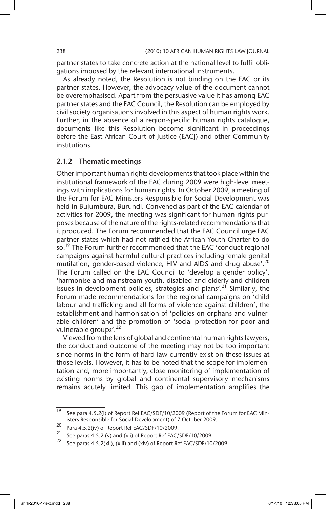partner states to take concrete action at the national level to fulfil obligations imposed by the relevant international instruments.

As already noted, the Resolution is not binding on the EAC or its partner states. However, the advocacy value of the document cannot be overemphasised. Apart from the persuasive value it has among EAC partner states and the EAC Council, the Resolution can be employed by civil society organisations involved in this aspect of human rights work. Further, in the absence of a region-specific human rights catalogue, documents like this Resolution become significant in proceedings before the East African Court of Justice (EACJ) and other Community institutions.

### 2.1.2 Thematic meetings

Other important human rights developments that took place within the institutional framework of the EAC during 2009 were high-level meetings with implications for human rights. In October 2009, a meeting of the Forum for EAC Ministers Responsible for Social Development was held in Bujumbura, Burundi. Convened as part of the EAC calendar of activities for 2009, the meeting was significant for human rights purposes because of the nature of the rights-related recommendations that it produced. The Forum recommended that the EAC Council urge EAC partner states which had not ratified the African Youth Charter to do so.<sup>19</sup> The Forum further recommended that the EAC 'conduct regional campaigns against harmful cultural practices including female genital mutilation, gender-based violence, HIV and AIDS and drug abuse'.<sup>20</sup> The Forum called on the EAC Council to 'develop a gender policy', 'harmonise and mainstream youth, disabled and elderly and children issues in development policies, strategies and plans'.<sup>21</sup> Similarly, the Forum made recommendations for the regional campaigns on 'child labour and trafficking and all forms of violence against children', the establishment and harmonisation of 'policies on orphans and vulnerable children' and the promotion of 'social protection for poor and vulnerable groups'.<sup>22</sup>

Viewed from the lens of global and continental human rights lawyers, the conduct and outcome of the meeting may not be too important since norms in the form of hard law currently exist on these issues at those levels. However, it has to be noted that the scope for implementation and, more importantly, close monitoring of implementation of existing norms by global and continental supervisory mechanisms remains acutely limited. This gap of implementation amplifies the

 $\frac{19}{19}$  See para 4.5.2(i) of Report Ref EAC/SDF/10/2009 (Report of the Forum for EAC Ministers Responsible for Social Development) of 7 October 2009.

<sup>&</sup>lt;sup>20</sup> Para 4.5.2(iv) of Report Ref EAC/SDF/10/2009.

See paras 4.5.2 (v) and (vii) of Report Ref EAC/SDF/10/2009.

See paras 4.5.2(xii), (xiii) and (xiv) of Report Ref EAC/SDF/10/2009.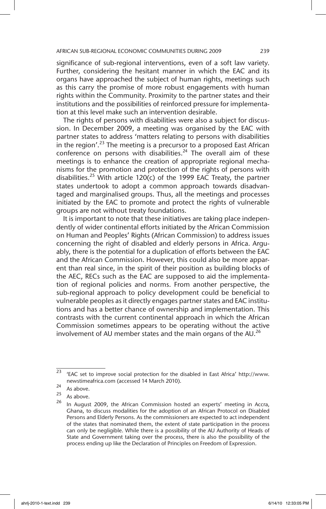significance of sub-regional interventions, even of a soft law variety. Further, considering the hesitant manner in which the EAC and its organs have approached the subject of human rights, meetings such as this carry the promise of more robust engagements with human rights within the Community. Proximity to the partner states and their institutions and the possibilities of reinforced pressure for implementation at this level make such an intervention desirable.

The rights of persons with disabilities were also a subject for discussion. In December 2009, a meeting was organised by the EAC with partner states to address 'matters relating to persons with disabilities in the region'.<sup>23</sup> The meeting is a precursor to a proposed East African conference on persons with disabilities.<sup>24</sup> The overall aim of these meetings is to enhance the creation of appropriate regional mechanisms for the promotion and protection of the rights of persons with disabilities.<sup>25</sup> With article 120(c) of the 1999 EAC Treaty, the partner states undertook to adopt a common approach towards disadvantaged and marginalised groups. Thus, all the meetings and processes initiated by the EAC to promote and protect the rights of vulnerable groups are not without treaty foundations.

It is important to note that these initiatives are taking place independently of wider continental efforts initiated by the African Commission on Human and Peoples' Rights (African Commission) to address issues concerning the right of disabled and elderly persons in Africa. Arguably, there is the potential for a duplication of efforts between the EAC and the African Commission. However, this could also be more apparent than real since, in the spirit of their position as building blocks of the AEC, RECs such as the EAC are supposed to aid the implementation of regional policies and norms. From another perspective, the sub-regional approach to policy development could be beneficial to vulnerable peoples as it directly engages partner states and EAC institutions and has a better chance of ownership and implementation. This contrasts with the current continental approach in which the African Commission sometimes appears to be operating without the active involvement of AU member states and the main organs of the AU.<sup>26</sup>

 $23$  'EAC set to improve social protection for the disabled in East Africa' http://www. newstimeafrica.com (accessed 14 March 2010).

 $\frac{24}{25}$  As above.

As above.

<sup>&</sup>lt;sup>26</sup> In August 2009, the African Commission hosted an experts' meeting in Accra, Ghana, to discuss modalities for the adoption of an African Protocol on Disabled Persons and Elderly Persons. As the commissioners are expected to act independent of the states that nominated them, the extent of state participation in the process can only be negligible. While there is a possibility of the AU Authority of Heads of State and Government taking over the process, there is also the possibility of the process ending up like the Declaration of Principles on Freedom of Expression.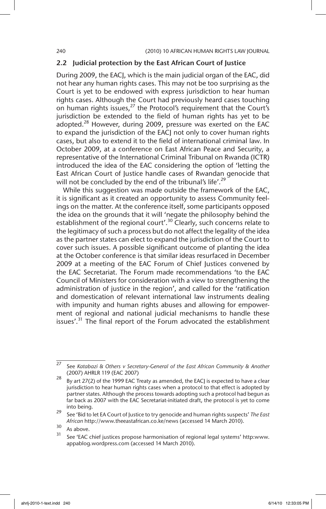# 2.2 Judicial protection by the East African Court of Justice

During 2009, the EACJ, which is the main judicial organ of the EAC, did not hear any human rights cases. This may not be too surprising as the Court is yet to be endowed with express jurisdiction to hear human rights cases. Although the Court had previously heard cases touching on human rights issues, $^{27}$  the Protocol's requirement that the Court's jurisdiction be extended to the field of human rights has yet to be adopted. $28$  However, during 2009, pressure was exerted on the EAC to expand the jurisdiction of the EACJ not only to cover human rights cases, but also to extend it to the field of international criminal law. In October 2009, at a conference on East African Peace and Security, a representative of the International Criminal Tribunal on Rwanda (ICTR) introduced the idea of the EAC considering the option of 'letting the East African Court of Justice handle cases of Rwandan genocide that will not be concluded by the end of the tribunal's life'.<sup>29</sup>

While this suggestion was made outside the framework of the EAC, it is significant as it created an opportunity to assess Community feelings on the matter. At the conference itself, some participants opposed the idea on the grounds that it will 'negate the philosophy behind the establishment of the regional court'.<sup>30</sup> Clearly, such concerns relate to the legitimacy of such a process but do not affect the legality of the idea as the partner states can elect to expand the jurisdiction of the Court to cover such issues. A possible significant outcome of planting the idea at the October conference is that similar ideas resurfaced in December 2009 at a meeting of the EAC Forum of Chief Justices convened by the EAC Secretariat. The Forum made recommendations 'to the EAC Council of Ministers for consideration with a view to strengthening the administration of justice in the region', and called for the 'ratification and domestication of relevant international law instruments dealing with impunity and human rights abuses and allowing for empowerment of regional and national judicial mechanisms to handle these issues'.<sup>31</sup> The final report of the Forum advocated the establishment

<sup>27</sup> See *Katabazi & Others v Secretary-General of the East African Community & Another* (2007) AHRLR 119 (EAC 2007)

 $28$  By art 27(2) of the 1999 EAC Treaty as amended, the EACJ is expected to have a clear jurisdiction to hear human rights cases when a protocol to that effect is adopted by partner states. Although the process towards adopting such a protocol had begun as far back as 2007 with the EAC Secretariat-initiated draft, the protocol is yet to come into being.

<sup>29</sup> See 'Bid to let EA Court of Justice to try genocide and human rights suspects' *The East African* http://www.theeastafrican.co.ke/news (accessed 14 March 2010).

 $30$  As above.

See 'EAC chief justices propose harmonisation of regional legal systems' http:www. appablog.wordpress.com (accessed 14 March 2010).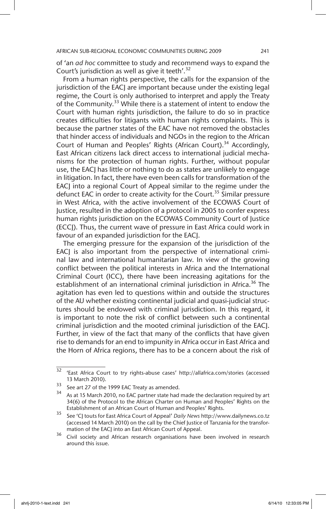of 'an *ad hoc* committee to study and recommend ways to expand the Court's jurisdiction as well as give it teeth'.<sup>32</sup>

From a human rights perspective, the calls for the expansion of the jurisdiction of the EACJ are important because under the existing legal regime, the Court is only authorised to interpret and apply the Treaty of the Community.<sup>33</sup> While there is a statement of intent to endow the Court with human rights jurisdiction, the failure to do so in practice creates difficulties for litigants with human rights complaints. This is because the partner states of the EAC have not removed the obstacles that hinder access of individuals and NGOs in the region to the African Court of Human and Peoples' Rights (African Court).<sup>34</sup> Accordingly, East African citizens lack direct access to international judicial mechanisms for the protection of human rights. Further, without popular use, the EACJ has little or nothing to do as states are unlikely to engage in litigation. In fact, there have even been calls for transformation of the EACJ into a regional Court of Appeal similar to the regime under the defunct EAC in order to create activity for the Court.<sup>35</sup> Similar pressure in West Africa, with the active involvement of the ECOWAS Court of Justice, resulted in the adoption of a protocol in 2005 to confer express human rights jurisdiction on the ECOWAS Community Court of Justice (ECCJ). Thus, the current wave of pressure in East Africa could work in favour of an expanded jurisdiction for the EACJ.

The emerging pressure for the expansion of the jurisdiction of the EACJ is also important from the perspective of international criminal law and international humanitarian law. In view of the growing conflict between the political interests in Africa and the International Criminal Court (ICC), there have been increasing agitations for the establishment of an international criminal jurisdiction in Africa.<sup>36</sup> The agitation has even led to questions within and outside the structures of the AU whether existing continental judicial and quasi-judicial structures should be endowed with criminal jurisdiction. In this regard, it is important to note the risk of conflict between such a continental criminal jurisdiction and the mooted criminal jurisdiction of the EACJ. Further, in view of the fact that many of the conflicts that have given rise to demands for an end to impunity in Africa occur in East Africa and the Horn of Africa regions, there has to be a concern about the risk of

<sup>32</sup> 'East Africa Court to try rights-abuse cases' http://allafrica.com/stories (accessed 13 March 2010).

 $\frac{33}{34}$  See art 27 of the 1999 EAC Treaty as amended.

As at 15 March 2010, no EAC partner state had made the declaration required by art 34(6) of the Protocol to the African Charter on Human and Peoples' Rights on the Establishment of an African Court of Human and Peoples' Rights.

<sup>35</sup> See 'CJ touts for East Africa Court of Appeal' *Daily News* http://www.dailynews.co.tz (accessed 14 March 2010) on the call by the Chief Justice of Tanzania for the transformation of the EACJ into an East African Court of Appeal.

<sup>&</sup>lt;sup>36</sup> Civil society and African research organisations have been involved in research around this issue.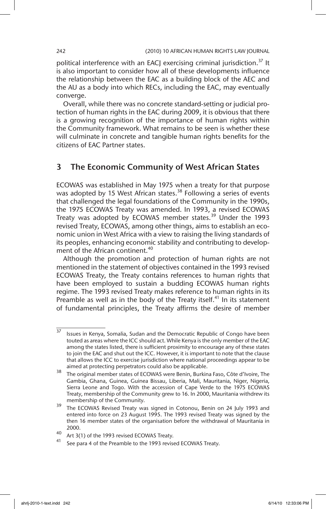political interference with an EACJ exercising criminal jurisdiction.<sup>37</sup> It is also important to consider how all of these developments influence the relationship between the EAC as a building block of the AEC and the AU as a body into which RECs, including the EAC, may eventually converge.

Overall, while there was no concrete standard-setting or judicial protection of human rights in the EAC during 2009, it is obvious that there is a growing recognition of the importance of human rights within the Community framework. What remains to be seen is whether these will culminate in concrete and tangible human rights benefits for the citizens of EAC Partner states.

# 3 The Economic Community of West African States

ECOWAS was established in May 1975 when a treaty for that purpose was adopted by 15 West African states.<sup>38</sup> Following a series of events that challenged the legal foundations of the Community in the 1990s, the 1975 ECOWAS Treaty was amended. In 1993, a revised ECOWAS Treaty was adopted by ECOWAS member states.<sup>39</sup> Under the 1993 revised Treaty, ECOWAS, among other things, aims to establish an economic union in West Africa with a view to raising the living standards of its peoples, enhancing economic stability and contributing to development of the African continent.<sup>40</sup>

Although the promotion and protection of human rights are not mentioned in the statement of objectives contained in the 1993 revised ECOWAS Treaty, the Treaty contains references to human rights that have been employed to sustain a budding ECOWAS human rights regime. The 1993 revised Treaty makes reference to human rights in its Preamble as well as in the body of the Treaty itself.<sup>41</sup> In its statement of fundamental principles, the Treaty affirms the desire of member

 $\frac{37}{37}$  Issues in Kenya, Somalia, Sudan and the Democratic Republic of Congo have been touted as areas where the ICC should act. While Kenya is the only member of the EAC among the states listed, there is sufficient proximity to encourage any of these states to join the EAC and shut out the ICC. However, it is important to note that the clause that allows the ICC to exercise jurisdiction where national proceedings appear to be aimed at protecting perpetrators could also be applicable.

<sup>38</sup> The original member states of ECOWAS were Benin, Burkina Faso, Côte d'Ivoire, The Gambia, Ghana, Guinea, Guinea Bissau, Liberia, Mali, Mauritania, Niger, Nigeria, Sierra Leone and Togo. With the accession of Cape Verde to the 1975 ECOWAS Treaty, membership of the Community grew to 16. In 2000, Mauritania withdrew its membership of the Community.

<sup>&</sup>lt;sup>39</sup> The ECOWAS Revised Treaty was signed in Cotonou, Benin on 24 July 1993 and entered into force on 23 August 1995. The 1993 revised Treaty was signed by the then 16 member states of the organisation before the withdrawal of Mauritania in 2000.

<sup>40</sup> Art 3(1) of the 1993 revised ECOWAS Treaty.

See para 4 of the Preamble to the 1993 revised ECOWAS Treaty.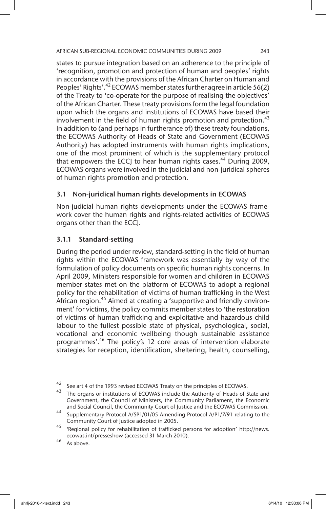states to pursue integration based on an adherence to the principle of 'recognition, promotion and protection of human and peoples' rights in accordance with the provisions of the African Charter on Human and Peoples' Rights'. $42$  ECOWAS member states further agree in article 56(2) of the Treaty to 'co-operate for the purpose of realising the objectives' of the African Charter. These treaty provisions form the legal foundation upon which the organs and institutions of ECOWAS have based their involvement in the field of human rights promotion and protection. $43$ In addition to (and perhaps in furtherance of) these treaty foundations, the ECOWAS Authority of Heads of State and Government (ECOWAS Authority) has adopted instruments with human rights implications, one of the most prominent of which is the supplementary protocol that empowers the ECCJ to hear human rights cases.<sup>44</sup> During 2009, ECOWAS organs were involved in the judicial and non-juridical spheres of human rights promotion and protection.

# 3.1 Non-juridical human rights developments in ECOWAS

Non-judicial human rights developments under the ECOWAS framework cover the human rights and rights-related activities of ECOWAS organs other than the ECCJ.

# 3.1.1 Standard-setting

During the period under review, standard-setting in the field of human rights within the ECOWAS framework was essentially by way of the formulation of policy documents on specific human rights concerns. In April 2009, Ministers responsible for women and children in ECOWAS member states met on the platform of ECOWAS to adopt a regional policy for the rehabilitation of victims of human trafficking in the West African region.<sup>45</sup> Aimed at creating a 'supportive and friendly environment' for victims, the policy commits member states to 'the restoration of victims of human trafficking and exploitative and hazardous child labour to the fullest possible state of physical, psychological, social, vocational and economic wellbeing though sustainable assistance programmes'.46 The policy's 12 core areas of intervention elaborate strategies for reception, identification, sheltering, health, counselling,

 $\frac{42}{42}$  See art 4 of the 1993 revised ECOWAS Treaty on the principles of ECOWAS.

 $43$  The organs or institutions of ECOWAS include the Authority of Heads of State and Government, the Council of Ministers, the Community Parliament, the Economic and Social Council, the Community Court of Justice and the ECOWAS Commission.

<sup>44</sup> Supplementary Protocol A/SP1/01/05 Amending Protocol A/P1/7/91 relating to the Community Court of Justice adopted in 2005.

<sup>45</sup> 'Regional policy for rehabilitation of trafficked persons for adoption' http://news. ecowas.int/presseshow (accessed 31 March 2010).

<sup>46</sup> As above.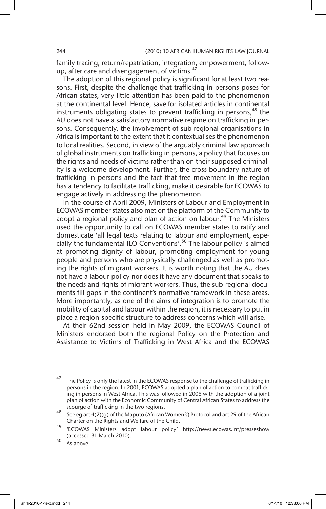family tracing, return/repatriation, integration, empowerment, followup, after care and disengagement of victims.<sup>47</sup>

The adoption of this regional policy is significant for at least two reasons. First, despite the challenge that trafficking in persons poses for African states, very little attention has been paid to the phenomenon at the continental level. Hence, save for isolated articles in continental instruments obligating states to prevent trafficking in persons,  $48$  the AU does not have a satisfactory normative regime on trafficking in persons. Consequently, the involvement of sub-regional organisations in Africa is important to the extent that it contextualises the phenomenon to local realities. Second, in view of the arguably criminal law approach of global instruments on trafficking in persons, a policy that focuses on the rights and needs of victims rather than on their supposed criminality is a welcome development. Further, the cross-boundary nature of trafficking in persons and the fact that free movement in the region has a tendency to facilitate trafficking, make it desirable for ECOWAS to engage actively in addressing the phenomenon.

In the course of April 2009, Ministers of Labour and Employment in ECOWAS member states also met on the platform of the Community to adopt a regional policy and plan of action on labour.<sup>49</sup> The Ministers used the opportunity to call on ECOWAS member states to ratify and domesticate 'all legal texts relating to labour and employment, especially the fundamental ILO Conventions'.<sup>50</sup> The labour policy is aimed at promoting dignity of labour, promoting employment for young people and persons who are physically challenged as well as promoting the rights of migrant workers. It is worth noting that the AU does not have a labour policy nor does it have any document that speaks to the needs and rights of migrant workers. Thus, the sub-regional documents fill gaps in the continent's normative framework in these areas. More importantly, as one of the aims of integration is to promote the mobility of capital and labour within the region, it is necessary to put in place a region-specific structure to address concerns which will arise.

At their 62nd session held in May 2009, the ECOWAS Council of Ministers endorsed both the regional Policy on the Protection and Assistance to Victims of Trafficking in West Africa and the ECOWAS

<sup>&</sup>lt;sup>47</sup> The Policy is only the latest in the ECOWAS response to the challenge of trafficking in persons in the region. In 2001, ECOWAS adopted a plan of action to combat trafficking in persons in West Africa. This was followed in 2006 with the adoption of a joint plan of action with the Economic Community of Central African States to address the scourge of trafficking in the two regions.

<sup>&</sup>lt;sup>48</sup> See eg art 4(2)(g) of the Maputo (African Women's) Protocol and art 29 of the African Charter on the Rights and Welfare of the Child.

<sup>49</sup> 'ECOWAS Ministers adopt labour policy' http://news.ecowas.int/presseshow (accessed 31 March 2010).

 $50$  As above.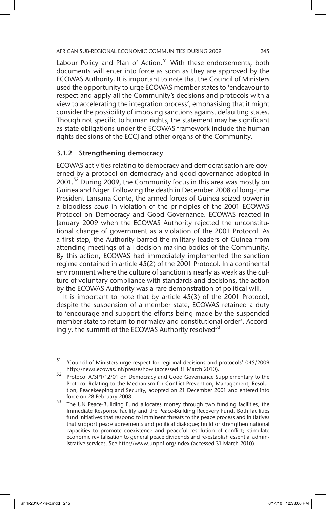Labour Policy and Plan of Action.<sup>51</sup> With these endorsements, both documents will enter into force as soon as they are approved by the ECOWAS Authority. It is important to note that the Council of Ministers used the opportunity to urge ECOWAS member states to 'endeavour to respect and apply all the Community's decisions and protocols with a view to accelerating the integration process', emphasising that it might consider the possibility of imposing sanctions against defaulting states. Though not specific to human rights, the statement may be significant as state obligations under the ECOWAS framework include the human rights decisions of the ECCJ and other organs of the Community.

# 3.1.2 Strengthening democracy

ECOWAS activities relating to democracy and democratisation are governed by a protocol on democracy and good governance adopted in 2001.<sup>52</sup> During 2009, the Community focus in this area was mostly on Guinea and Niger. Following the death in December 2008 of long-time President Lansana Conte, the armed forces of Guinea seized power in a bloodless *coup* in violation of the principles of the 2001 ECOWAS Protocol on Democracy and Good Governance. ECOWAS reacted in January 2009 when the ECOWAS Authority rejected the unconstitutional change of government as a violation of the 2001 Protocol. As a first step, the Authority barred the military leaders of Guinea from attending meetings of all decision-making bodies of the Community. By this action, ECOWAS had immediately implemented the sanction regime contained in article 45(2) of the 2001 Protocol. In a continental environment where the culture of sanction is nearly as weak as the culture of voluntary compliance with standards and decisions, the action by the ECOWAS Authority was a rare demonstration of political will.

It is important to note that by article 45(3) of the 2001 Protocol, despite the suspension of a member state, ECOWAS retained a duty to 'encourage and support the efforts being made by the suspended member state to return to normalcy and constitutional order'. Accordingly, the summit of the ECOWAS Authority resolved $^{53}$ 

<sup>51</sup> 'Council of Ministers urge respect for regional decisions and protocols' 045/2009 http://news.ecowas.int/presseshow (accessed 31 March 2010).

<sup>52</sup> Protocol A/SP1/12/01 on Democracy and Good Governance Supplementary to the Protocol Relating to the Mechanism for Conflict Prevention, Management, Resolution, Peacekeeping and Security, adopted on 21 December 2001 and entered into force on 28 February 2008.

<sup>53</sup> The UN Peace-Building Fund allocates money through two funding facilities, the Immediate Response Facility and the Peace-Building Recovery Fund. Both facilities fund initiatives that respond to imminent threats to the peace process and initiatives that support peace agreements and political dialogue; build or strengthen national capacities to promote coexistence and peaceful resolution of conflict; stimulate economic revitalisation to general peace dividends and re-establish essential administrative services. See http://www.unpbf.org/index (accessed 31 March 2010).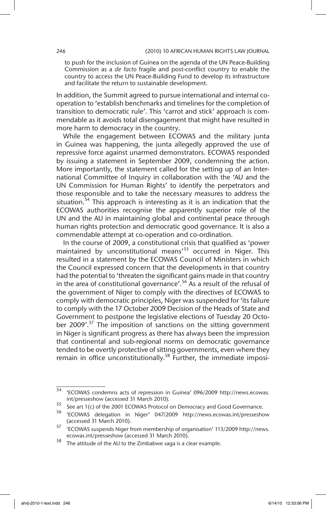to push for the inclusion of Guinea on the agenda of the UN Peace-Building Commission as a *de facto* fragile and post-conflict country to enable the country to access the UN Peace-Building Fund to develop its infrastructure and facilitate the return to sustainable development.

In addition, the Summit agreed to pursue international and internal cooperation to 'establish benchmarks and timelines for the completion of transition to democratic rule'. This 'carrot and stick' approach is commendable as it avoids total disengagement that might have resulted in more harm to democracy in the country.

While the engagement between ECOWAS and the military junta in Guinea was happening, the junta allegedly approved the use of repressive force against unarmed demonstrators. ECOWAS responded by issuing a statement in September 2009, condemning the action. More importantly, the statement called for the setting up of an International Committee of Inquiry in collaboration with the 'AU and the UN Commission for Human Rights' to identify the perpetrators and those responsible and to take the necessary measures to address the situation.<sup>54</sup> This approach is interesting as it is an indication that the ECOWAS authorities recognise the apparently superior role of the UN and the AU in maintaining global and continental peace through human rights protection and democratic good governance. It is also a commendable attempt at co-operation and co-ordination.

In the course of 2009, a constitutional crisis that qualified as 'power maintained by unconstitutional means'<sup>55</sup> occurred in Niger. This resulted in a statement by the ECOWAS Council of Ministers in which the Council expressed concern that the developments in that country had the potential to 'threaten the significant gains made in that country in the area of constitutional governance'.56 As a result of the refusal of the government of Niger to comply with the directives of ECOWAS to comply with democratic principles, Niger was suspended for 'its failure to comply with the 17 October 2009 Decision of the Heads of State and Government to postpone the legislative elections of Tuesday 20 October 2009'.<sup>57</sup> The imposition of sanctions on the sitting government in Niger is significant progress as there has always been the impression that continental and sub-regional norms on democratic governance tended to be overtly protective of sitting governments, even where they remain in office unconstitutionally.<sup>58</sup> Further, the immediate imposi-

<sup>54</sup> 'ECOWAS condemns acts of repression in Guinea' 096/2009 http://news.ecowas. int/presseshow (accessed 31 March 2010).

<sup>55</sup> See art 1(c) of the 2001 ECOWAS Protocol on Democracy and Good Governance.

<sup>56</sup> 'ECOWAS delegation in Niger' 047/2009 http://news.ecowas.int/presseshow (accessed 31 March 2010).

<sup>57</sup> 'ECOWAS suspends Niger from membership of organisation' 113/2009 http://news. ecowas.int/presseshow (accessed 31 March 2010).

<sup>58</sup> The attitude of the AU to the Zimbabwe saga is a clear example.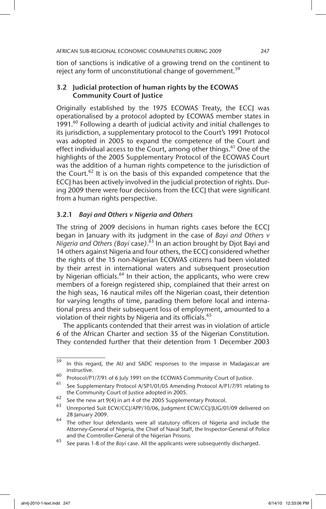tion of sanctions is indicative of a growing trend on the continent to reject any form of unconstitutional change of government.<sup>59</sup>

# 3.2 Judicial protection of human rights by the ECOWAS Community Court of Justice

Originally established by the 1975 ECOWAS Treaty, the ECCJ was operationalised by a protocol adopted by ECOWAS member states in 1991. $^{60}$  Following a dearth of judicial activity and initial challenges to its jurisdiction, a supplementary protocol to the Court's 1991 Protocol was adopted in 2005 to expand the competence of the Court and effect individual access to the Court, among other things.<sup>61</sup> One of the highlights of the 2005 Supplementary Protocol of the ECOWAS Court was the addition of a human rights competence to the jurisdiction of the Court.<sup>62</sup> It is on the basis of this expanded competence that the ECCJ has been actively involved in the judicial protection of rights. During 2009 there were four decisions from the ECCJ that were significant from a human rights perspective.

# 3.2.1 *Bayi and Others v Nigeria and Others*

The string of 2009 decisions in human rights cases before the ECCJ began in January with its judgment in the case of *Bayi and Others v Nigeria and Others (Bayi* case*)*. 63 In an action brought by Djot Bayi and 14 others against Nigeria and four others, the ECCJ considered whether the rights of the 15 non-Nigerian ECOWAS citizens had been violated by their arrest in international waters and subsequent prosecution by Nigerian officials.<sup>64</sup> In their action, the applicants, who were crew members of a foreign registered ship, complained that their arrest on the high seas, 16 nautical miles off the Nigerian coast, their detention for varying lengths of time, parading them before local and international press and their subsequent loss of employment, amounted to a violation of their rights by Nigeria and its officials.<sup>65</sup>

The applicants contended that their arrest was in violation of article 6 of the African Charter and section 35 of the Nigerian Constitution. They contended further that their detention from 1 December 2003

<sup>&</sup>lt;sup>59</sup> In this regard, the AU and SADC responses to the impasse in Madagascar are instructive.

 $^{60}$  Protocol/P1/7/91 of 6 July 1991 on the ECOWAS Community Court of Justice.

See Supplementary Protocol A/SP1/01/05 Amending Protocol A/P1/7/91 relating to the Community Court of Justice adopted in 2005.

<sup>62</sup> See the new art 9(4) in art 4 of the 2005 Supplementary Protocol.<br> $\frac{63}{2}$  University CN/CCUARU2006 Judgment CN/CCULLE (0

Unreported Suit ECW/CCJ/APP/10/06, Judgment ECW/CCJ/JUG/01/09 delivered on 28 January 2009.

<sup>64</sup> The other four defendants were all statutory officers of Nigeria and include the Attorney-General of Nigeria, the Chief of Naval Staff, the Inspector-General of Police and the Comtroller-General of the Nigerian Prisons.

<sup>65</sup> See paras 1-8 of the *Bayi* case. All the applicants were subsequently discharged.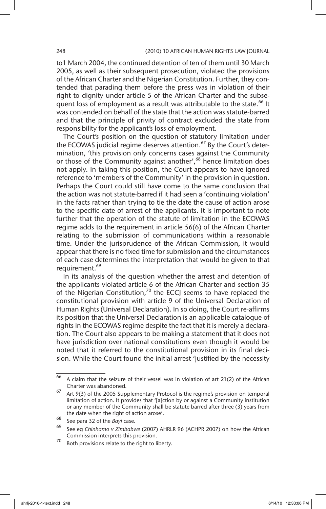to1 March 2004, the continued detention of ten of them until 30 March 2005, as well as their subsequent prosecution, violated the provisions of the African Charter and the Nigerian Constitution. Further, they contended that parading them before the press was in violation of their right to dignity under article 5 of the African Charter and the subsequent loss of employment as a result was attributable to the state.<sup>66</sup> It was contended on behalf of the state that the action was statute-barred and that the principle of privity of contract excluded the state from responsibility for the applicant's loss of employment.

The Court's position on the question of statutory limitation under the ECOWAS judicial regime deserves attention.<sup>67</sup> By the Court's determination, 'this provision only concerns cases against the Community or those of the Community against another',<sup>68</sup> hence limitation does not apply. In taking this position, the Court appears to have ignored reference to 'members of the Community' in the provision in question. Perhaps the Court could still have come to the same conclusion that the action was not statute-barred if it had seen a 'continuing violation' in the facts rather than trying to tie the date the cause of action arose to the specific date of arrest of the applicants. It is important to note further that the operation of the statute of limitation in the ECOWAS regime adds to the requirement in article 56(6) of the African Charter relating to the submission of communications within a reasonable time. Under the jurisprudence of the African Commission, it would appear that there is no fixed time for submission and the circumstances of each case determines the interpretation that would be given to that requirement.<sup>69</sup>

In its analysis of the question whether the arrest and detention of the applicants violated article 6 of the African Charter and section 35 of the Nigerian Constitution,<sup>70</sup> the ECCJ seems to have replaced the constitutional provision with article 9 of the Universal Declaration of Human Rights (Universal Declaration). In so doing, the Court re-affirms its position that the Universal Declaration is an applicable catalogue of rights in the ECOWAS regime despite the fact that it is merely a declaration. The Court also appears to be making a statement that it does not have jurisdiction over national constitutions even though it would be noted that it referred to the constitutional provision in its final decision. While the Court found the initial arrest 'justified by the necessity

 $\overline{66}$  A claim that the seizure of their vessel was in violation of art 21(2) of the African Charter was abandoned.

 $67$  Art 9(3) of the 2005 Supplementary Protocol is the regime's provision on temporal limitation of action. It provides that '[a]ction by or against a Community institution or any member of the Community shall be statute barred after three (3) years from the date when the right of action arose'.

<sup>68</sup> See para 32 of the *Bayi* case.

<sup>69</sup> See eg *Chinhamo v Zimbabwe* (2007) AHRLR 96 (ACHPR 2007) on how the African Commission interprets this provision.

 $70$  Both provisions relate to the right to liberty.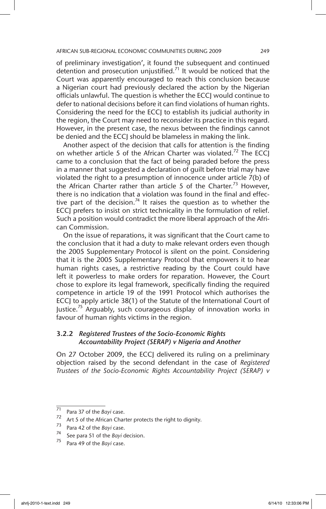of preliminary investigation', it found the subsequent and continued detention and prosecution unjustified.<sup>71</sup> It would be noticed that the Court was apparently encouraged to reach this conclusion because a Nigerian court had previously declared the action by the Nigerian officials unlawful. The question is whether the ECCJ would continue to defer to national decisions before it can find violations of human rights. Considering the need for the ECCJ to establish its judicial authority in the region, the Court may need to reconsider its practice in this regard. However, in the present case, the nexus between the findings cannot be denied and the ECCJ should be blameless in making the link.

Another aspect of the decision that calls for attention is the finding on whether article 5 of the African Charter was violated.<sup>72</sup> The ECCJ came to a conclusion that the fact of being paraded before the press in a manner that suggested a declaration of guilt before trial may have violated the right to a presumption of innocence under article 7(b) of the African Charter rather than article 5 of the Charter.<sup>73</sup> However, there is no indication that a violation was found in the final and effective part of the decision.<sup>74</sup> It raises the question as to whether the ECCJ prefers to insist on strict technicality in the formulation of relief. Such a position would contradict the more liberal approach of the African Commission.

On the issue of reparations, it was significant that the Court came to the conclusion that it had a duty to make relevant orders even though the 2005 Supplementary Protocol is silent on the point. Considering that it is the 2005 Supplementary Protocol that empowers it to hear human rights cases, a restrictive reading by the Court could have left it powerless to make orders for reparation. However, the Court chose to explore its legal framework, specifically finding the required competence in article 19 of the 1991 Protocol which authorises the ECCJ to apply article 38(1) of the Statute of the International Court of Justice.<sup>75</sup> Arguably, such courageous display of innovation works in favour of human rights victims in the region.

# 3.2.2 *Registered Trustees of the Socio-Economic Rights Accountability Project (SERAP) v Nigeria and Another*

On 27 October 2009, the ECCJ delivered its ruling on a preliminary objection raised by the second defendant in the case of *Registered Trustees of the Socio-Economic Rights Accountability Project (SERAP) v* 

<sup>71</sup> Para 37 of the *Bayi* case.<br><sup>72</sup> Art 5 of the African Char

<sup>&</sup>lt;sup>72</sup> Art 5 of the African Charter protects the right to dignity.<br><sup>73</sup> Pass 4.3 of the Brui case

<sup>&</sup>lt;sup>73</sup> Para 42 of the *Bayi* case.<br><sup>74</sup> See Para 51 of the *Bayi* c

<sup>&</sup>lt;sup>14</sup> See para 51 of the *Bayi* decision.<br><sup>75</sup> Bars 40 of the *Bayi* case.

Para 49 of the *Bayi* case.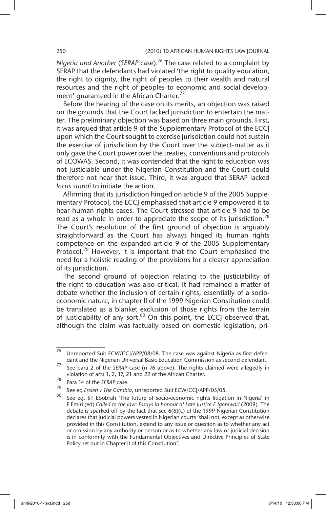*Nigeria and Another* (*SERAP* case).76 The case related to a complaint by SERAP that the defendants had violated 'the right to quality education, the right to dignity, the right of peoples to their wealth and natural resources and the right of peoples to economic and social development' quaranteed in the African Charter.<sup>77</sup>

Before the hearing of the case on its merits, an objection was raised on the grounds that the Court lacked jurisdiction to entertain the matter. The preliminary objection was based on three main grounds. First, it was argued that article 9 of the Supplementary Protocol of the ECCJ upon which the Court sought to exercise jurisdiction could not sustain the exercise of jurisdiction by the Court over the subject-matter as it only gave the Court power over the treaties, conventions and protocols of ECOWAS. Second, it was contended that the right to education was not justiciable under the Nigerian Constitution and the Court could therefore not hear that issue. Third, it was argued that SERAP lacked *locus standi* to initiate the action.

Affirming that its jurisdiction hinged on article 9 of the 2005 Supplementary Protocol, the ECCJ emphasised that article 9 empowered it to hear human rights cases. The Court stressed that article 9 had to be read as a whole in order to appreciate the scope of its jurisdiction.<sup>78</sup> The Court's resolution of the first ground of objection is arguably straightforward as the Court has always hinged its human rights competence on the expanded article 9 of the 2005 Supplementary Protocol.<sup>79</sup> However, it is important that the Court emphasised the need for a holistic reading of the provisions for a clearer appreciation of its jurisdiction.

The second ground of objection relating to the justiciability of the right to education was also critical. It had remained a matter of debate whether the inclusion of certain rights, essentially of a socioeconomic nature, in chapter II of the 1999 Nigerian Constitution could be translated as a blanket exclusion of those rights from the terrain of justiciability of any sort. $80$  On this point, the ECCJ observed that, although the claim was factually based on domestic legislation, pri-

 $76$  Unreported Suit ECW/CCJ/APP/08/08. The case was against Nigeria as first defendant and the Nigerian Universal Basic Education Commission as second defendant.

<sup>77</sup> See para 2 of the *SERAP* case (n 76 above). The rights claimed were allegedly in violation of arts 1, 2, 17, 21 and 22 of the African Charter.

<sup>78</sup> Para 14 of the *SERAP* case.

<sup>79</sup> See eg *Essien v The Gambia*, unreported Suit ECW/CCJ/APP/05/05.

See eg, ST Ebobrah 'The future of socio-economic rights litigation in Nigeria' in F Emiri (ed) Called to the law: Essays in honour of Late Justice E Igoniwari (2009). The debate is sparked off by the fact that sec 6(6)(c) of the 1999 Nigerian Constitution declares that judicial powers vested in Nigerian courts 'shall not, except as otherwise provided in this Constitution, extend to any issue or question as to whether any act or omission by any authority or person or as to whether any law or judicial decision is in conformity with the Fundamental Objectives and Directive Principles of State Policy set out in Chapter II of this Constiution'.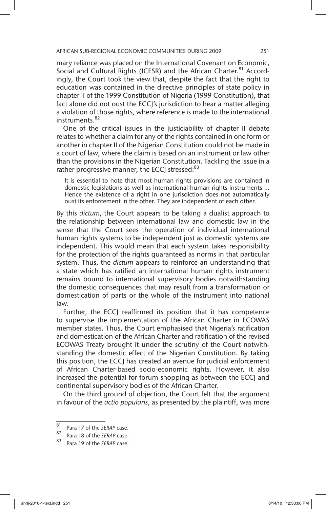mary reliance was placed on the International Covenant on Economic, Social and Cultural Rights (ICESR) and the African Charter.<sup>81</sup> Accordingly, the Court took the view that, despite the fact that the right to education was contained in the directive principles of state policy in chapter II of the 1999 Constitution of Nigeria (1999 Constitution), that fact alone did not oust the ECCJ's jurisdiction to hear a matter alleging a violation of those rights, where reference is made to the international instruments.<sup>82</sup>

One of the critical issues in the justiciability of chapter II debate relates to whether a claim for any of the rights contained in one form or another in chapter II of the Nigerian Constitution could not be made in a court of law, where the claim is based on an instrument or law other than the provisions in the Nigerian Constitution. Tackling the issue in a rather progressive manner, the ECCJ stressed: $83$ 

It is essential to note that most human rights provisions are contained in domestic legislations as well as international human rights instruments … Hence the existence of a right in one jurisdiction does not automatically oust its enforcement in the other. They are independent of each other.

By this *dictum*, the Court appears to be taking a dualist approach to the relationship between international law and domestic law in the sense that the Court sees the operation of individual international human rights systems to be independent just as domestic systems are independent. This would mean that each system takes responsibility for the protection of the rights guaranteed as norms in that particular system. Thus, the *dictum* appears to reinforce an understanding that a state which has ratified an international human rights instrument remains bound to international supervisory bodies notwithstanding the domestic consequences that may result from a transformation or domestication of parts or the whole of the instrument into national law.

Further, the ECCJ reaffirmed its position that it has competence to supervise the implementation of the African Charter in ECOWAS member states. Thus, the Court emphasised that Nigeria's ratification and domestication of the African Charter and ratification of the revised ECOWAS Treaty brought it under the scrutiny of the Court notwithstanding the domestic effect of the Nigerian Constitution. By taking this position, the ECCJ has created an avenue for judicial enforcement of African Charter-based socio-economic rights. However, it also increased the potential for forum shopping as between the ECCJ and continental supervisory bodies of the African Charter.

On the third ground of objection, the Court felt that the argument in favour of the *actio popularis*, as presented by the plaintiff, was more

<sup>81</sup> Para 17 of the *SERAP* case.

Para 18 of the *SERAP* case.

Para 19 of the *SERAP* case.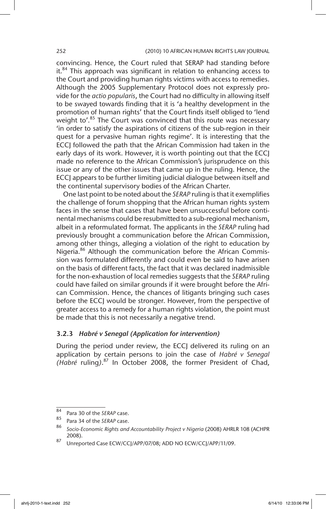convincing. Hence, the Court ruled that SERAP had standing before it.<sup>84</sup> This approach was significant in relation to enhancing access to the Court and providing human rights victims with access to remedies. Although the 2005 Supplementary Protocol does not expressly provide for the *actio popularis*, the Court had no difficulty in allowing itself to be swayed towards finding that it is 'a healthy development in the promotion of human rights' that the Court finds itself obliged to 'lend weight to'.<sup>85</sup> The Court was convinced that this route was necessary 'in order to satisfy the aspirations of citizens of the sub-region in their quest for a pervasive human rights regime'. It is interesting that the ECCJ followed the path that the African Commission had taken in the early days of its work. However, it is worth pointing out that the ECCJ made no reference to the African Commission's jurisprudence on this issue or any of the other issues that came up in the ruling. Hence, the ECCJ appears to be further limiting judicial dialogue between itself and the continental supervisory bodies of the African Charter.

One last point to be noted about the *SERAP* ruling is that it exemplifies the challenge of forum shopping that the African human rights system faces in the sense that cases that have been unsuccessful before continental mechanisms could be resubmitted to a sub-regional mechanism, albeit in a reformulated format. The applicants in the *SERAP* ruling had previously brought a communication before the African Commission, among other things, alleging a violation of the right to education by Nigeria.<sup>86</sup> Although the communication before the African Commission was formulated differently and could even be said to have arisen on the basis of different facts, the fact that it was declared inadmissible for the non-exhaustion of local remedies suggests that the *SERAP* ruling could have failed on similar grounds if it were brought before the African Commission. Hence, the chances of litigants bringing such cases before the ECCJ would be stronger. However, from the perspective of greater access to a remedy for a human rights violation, the point must be made that this is not necessarily a negative trend.

# 3.2.3 *Habré v Senegal (Application for intervention)*

During the period under review, the ECCJ delivered its ruling on an application by certain persons to join the case of *Habré v Senegal (Habré* ruling*)*. 87 In October 2008, the former President of Chad,

<sup>84</sup> Para 30 of the *SERAP* case.

<sup>85</sup> Para 34 of the *SERAP* case.

<sup>86</sup> *Socio-Economic Rights and Accountability Project v Nigeria* (2008) AHRLR 108 (ACHPR 2008).

<sup>87</sup> Unreported Case ECW/CCJ/APP/07/08; ADD NO ECW/CCJ/APP/11/09.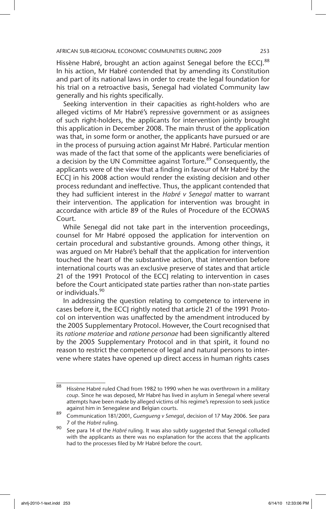Hissène Habré, brought an action against Senegal before the ECCI.88 In his action, Mr Habré contended that by amending its Constitution and part of its national laws in order to create the legal foundation for his trial on a retroactive basis, Senegal had violated Community law generally and his rights specifically.

Seeking intervention in their capacities as right-holders who are alleged victims of Mr Habré's repressive government or as assignees of such right-holders, the applicants for intervention jointly brought this application in December 2008. The main thrust of the application was that, in some form or another, the applicants have pursued or are in the process of pursuing action against Mr Habré. Particular mention was made of the fact that some of the applicants were beneficiaries of a decision by the UN Committee against Torture.<sup>89</sup> Consequently, the applicants were of the view that a finding in favour of Mr Habré by the ECCJ in his 2008 action would render the existing decision and other process redundant and ineffective. Thus, the applicant contended that they had sufficient interest in the *Habré v Senegal* matter to warrant their intervention. The application for intervention was brought in accordance with article 89 of the Rules of Procedure of the ECOWAS Court.

While Senegal did not take part in the intervention proceedings, counsel for Mr Habré opposed the application for intervention on certain procedural and substantive grounds. Among other things, it was argued on Mr Habré's behalf that the application for intervention touched the heart of the substantive action, that intervention before international courts was an exclusive preserve of states and that article 21 of the 1991 Protocol of the ECCJ relating to intervention in cases before the Court anticipated state parties rather than non-state parties or individuals.<sup>90</sup>

In addressing the question relating to competence to intervene in cases before it, the ECCJ rightly noted that article 21 of the 1991 Protocol on intervention was unaffected by the amendment introduced by the 2005 Supplementary Protocol. However, the Court recognised that its *ratione materiae* and *ratione personae* had been significantly altered by the 2005 Supplementary Protocol and in that spirit, it found no reason to restrict the competence of legal and natural persons to intervene where states have opened up direct access in human rights cases

 $\frac{88}{188}$  Hissène Habré ruled Chad from 1982 to 1990 when he was overthrown in a military *coup*. Since he was deposed, Mr Habré has lived in asylum in Senegal where several attempts have been made by alleged victims of his regime's repression to seek justice against him in Senegalese and Belgian courts.

<sup>89</sup> Communication 181/2001, *Guengueng v Senegal*, decision of 17 May 2006. See para 7 of the *Habré* ruling.

<sup>90</sup> See para 14 of the *Habré* ruling. It was also subtly suggested that Senegal colluded with the applicants as there was no explanation for the access that the applicants had to the processes filed by Mr Habré before the court.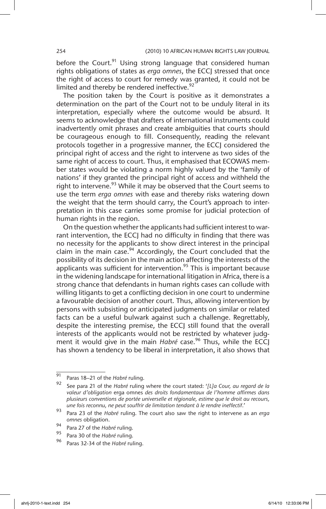before the Court.<sup>91</sup> Using strong language that considered human rights obligations of states as *erga omnes*, the ECCJ stressed that once the right of access to court for remedy was granted, it could not be limited and thereby be rendered ineffective.<sup>92</sup>

The position taken by the Court is positive as it demonstrates a determination on the part of the Court not to be unduly literal in its interpretation, especially where the outcome would be absurd. It seems to acknowledge that drafters of international instruments could inadvertently omit phrases and create ambiguities that courts should be courageous enough to fill. Consequently, reading the relevant protocols together in a progressive manner, the ECCJ considered the principal right of access and the right to intervene as two sides of the same right of access to court. Thus, it emphasised that ECOWAS member states would be violating a norm highly valued by the 'family of nations' if they granted the principal right of access and withheld the right to intervene.<sup>93</sup> While it may be observed that the Court seems to use the term *erga omnes* with ease and thereby risks watering down the weight that the term should carry, the Court's approach to interpretation in this case carries some promise for judicial protection of human rights in the region.

On the question whether the applicants had sufficient interest to warrant intervention, the ECCJ had no difficulty in finding that there was no necessity for the applicants to show direct interest in the principal claim in the main case.<sup>94</sup> Accordingly, the Court concluded that the possibility of its decision in the main action affecting the interests of the applicants was sufficient for intervention.<sup>95</sup> This is important because in the widening landscape for international litigation in Africa, there is a strong chance that defendants in human rights cases can collude with willing litigants to get a conflicting decision in one court to undermine a favourable decision of another court. Thus, allowing intervention by persons with subsisting or anticipated judgments on similar or related facts can be a useful bulwark against such a challenge. Regrettably, despite the interesting premise, the ECCJ still found that the overall interests of the applicants would not be restricted by whatever judgment it would give in the main *Habré* case.<sup>96</sup> Thus, while the ECCI has shown a tendency to be liberal in interpretation, it also shows that

<sup>91</sup> Paras 18–21 of the *Habré* ruling.

<sup>92</sup> See para 21 of the *Habré* ruling where the court stated: '*[L]a Cour, au regard de la valeur d'obligation* erga omnes *des droits fondamentaux de l'homme affirmes dans plusieurs conventions de portée universelle et régionale, estime que le droit au recours, une fois reconnu, ne peut souffrir de limitation tendant à le rendre ineffectif*.'

<sup>93</sup> Para 23 of the *Habré* ruling. The court also saw the right to intervene as an *erga omnes* obligation.

<sup>94</sup> Para 27 of the *Habré* ruling.<br>95 Para 30 of the *Habré* ruling.

<sup>95</sup> Para 30 of the *Habré* ruling.

<sup>96</sup> Paras 32-34 of the *Habré* ruling.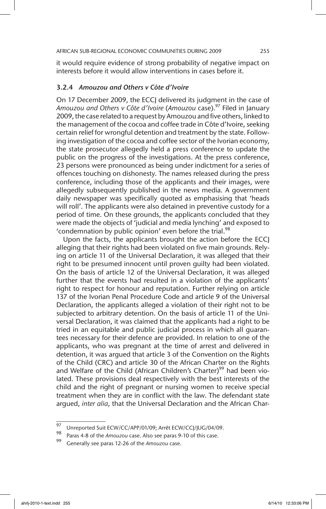it would require evidence of strong probability of negative impact on interests before it would allow interventions in cases before it.

### 3.2.4 *Amouzou and Others v Côte d'Ivoire*

On 17 December 2009, the ECCJ delivered its judgment in the case of *Amouzou and Others v Côte d'Ivoire* (*Amouzou* case).97 Filed in January 2009, the case related to a request by Amouzou and five others, linked to the management of the cocoa and coffee trade in Côte d'Ivoire, seeking certain relief for wrongful detention and treatment by the state. Following investigation of the cocoa and coffee sector of the Ivorian economy, the state prosecutor allegedly held a press conference to update the public on the progress of the investigations. At the press conference, 23 persons were pronounced as being under indictment for a series of offences touching on dishonesty. The names released during the press conference, including those of the applicants and their images, were allegedly subsequently published in the news media. A government daily newspaper was specifically quoted as emphasising that 'heads will roll'. The applicants were also detained in preventive custody for a period of time. On these grounds, the applicants concluded that they were made the objects of 'judicial and media lynching' and exposed to 'condemnation by public opinion' even before the trial.<sup>98</sup>

Upon the facts, the applicants brought the action before the ECC alleging that their rights had been violated on five main grounds. Relying on article 11 of the Universal Declaration, it was alleged that their right to be presumed innocent until proven guilty had been violated. On the basis of article 12 of the Universal Declaration, it was alleged further that the events had resulted in a violation of the applicants' right to respect for honour and reputation. Further relying on article 137 of the Ivorian Penal Procedure Code and article 9 of the Universal Declaration, the applicants alleged a violation of their right not to be subjected to arbitrary detention. On the basis of article 11 of the Universal Declaration, it was claimed that the applicants had a right to be tried in an equitable and public judicial process in which all guarantees necessary for their defence are provided. In relation to one of the applicants, who was pregnant at the time of arrest and delivered in detention, it was argued that article 3 of the Convention on the Rights of the Child (CRC) and article 30 of the African Charter on the Rights and Welfare of the Child (African Children's Charter)<sup>99</sup> had been violated. These provisions deal respectively with the best interests of the child and the right of pregnant or nursing women to receive special treatment when they are in conflict with the law. The defendant state argued, *inter alia*, that the Universal Declaration and the African Char-

 $\frac{97}{97}$  Unreported Suit ECW/CC/APP/01/09; Arrêt ECW/CCJ/JUG/04/09.

Paras 4-8 of the *Amouzou* case. Also see paras 9-10 of this case.

<sup>99</sup> Generally see paras 12-26 of the *Amouzou* case.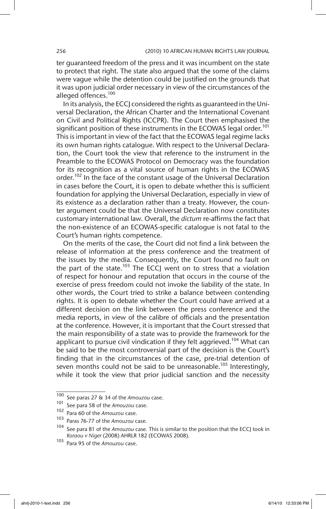ter guaranteed freedom of the press and it was incumbent on the state to protect that right. The state also argued that the some of the claims were vague while the detention could be justified on the grounds that it was upon judicial order necessary in view of the circumstances of the alleged offences.<sup>100</sup>

In its analysis, the ECCJ considered the rights as guaranteed in the Universal Declaration, the African Charter and the International Covenant on Civil and Political Rights (ICCPR). The Court then emphasised the significant position of these instruments in the ECOWAS legal order.<sup>101</sup> This is important in view of the fact that the ECOWAS legal regime lacks its own human rights catalogue. With respect to the Universal Declaration, the Court took the view that reference to the instrument in the Preamble to the ECOWAS Protocol on Democracy was the foundation for its recognition as a vital source of human rights in the ECOWAS order.<sup>102</sup> In the face of the constant usage of the Universal Declaration in cases before the Court, it is open to debate whether this is sufficient foundation for applying the Universal Declaration, especially in view of its existence as a declaration rather than a treaty. However, the counter argument could be that the Universal Declaration now constitutes customary international law. Overall, the *dictum* re-affirms the fact that the non-existence of an ECOWAS-specific catalogue is not fatal to the Court's human rights competence.

On the merits of the case, the Court did not find a link between the release of information at the press conference and the treatment of the issues by the media. Consequently, the Court found no fault on the part of the state.<sup>103</sup> The ECCJ went on to stress that a violation of respect for honour and reputation that occurs in the course of the exercise of press freedom could not invoke the liability of the state. In other words, the Court tried to strike a balance between contending rights. It is open to debate whether the Court could have arrived at a different decision on the link between the press conference and the media reports, in view of the calibre of officials and the presentation at the conference. However, it is important that the Court stressed that the main responsibility of a state was to provide the framework for the applicant to pursue civil vindication if they felt aggrieved.<sup>104</sup> What can be said to be the most controversial part of the decision is the Court's finding that in the circumstances of the case, pre-trial detention of seven months could not be said to be unreasonable.<sup>105</sup> Interestingly, while it took the view that prior judicial sanction and the necessity

<sup>100</sup> See paras 27 & 34 of the *Amouzou* case.

<sup>101</sup> See para 58 of the *Amouzou* case.

<sup>102</sup> Para 60 of the *Amouzou* case.

Paras 76-77 of the *Amouzou* case.

<sup>104</sup> See para 81 of the *Amouzou* case. This is similar to the position that the ECCJ took in *Koraou v Niger* (2008) AHRLR 182 (ECOWAS 2008).

<sup>105</sup> Para 95 of the *Amouzou* case.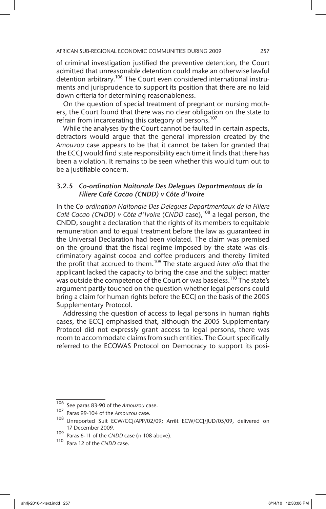of criminal investigation justified the preventive detention, the Court admitted that unreasonable detention could make an otherwise lawful detention arbitrary.<sup>106</sup> The Court even considered international instruments and jurisprudence to support its position that there are no laid down criteria for determining reasonableness.

On the question of special treatment of pregnant or nursing mothers, the Court found that there was no clear obligation on the state to refrain from incarcerating this category of persons.<sup>107</sup>

While the analyses by the Court cannot be faulted in certain aspects, detractors would argue that the general impression created by the *Amouzou* case appears to be that it cannot be taken for granted that the ECCJ would find state responsibility each time it finds that there has been a violation. It remains to be seen whether this would turn out to be a justifiable concern.

# 3.2.5 *Co-ordination Naitonale Des Delegues Departmentaux de la Filiere Café Cacao (CNDD) v Côte d'Ivoire*

In the *Co-ordination Naitonale Des Delegues Departmentaux de la Filiere*  Café Cacao (CNDD) v Côte d'Ivoire (CNDD case),<sup>108</sup> a legal person, the CNDD, sought a declaration that the rights of its members to equitable remuneration and to equal treatment before the law as guaranteed in the Universal Declaration had been violated. The claim was premised on the ground that the fiscal regime imposed by the state was discriminatory against cocoa and coffee producers and thereby limited the profit that accrued to them.109 The state argued *inter alia* that the applicant lacked the capacity to bring the case and the subject matter was outside the competence of the Court or was baseless.<sup>110</sup> The state's argument partly touched on the question whether legal persons could bring a claim for human rights before the ECCJ on the basis of the 2005 Supplementary Protocol.

Addressing the question of access to legal persons in human rights cases, the ECCJ emphasised that, although the 2005 Supplementary Protocol did not expressly grant access to legal persons, there was room to accommodate claims from such entities. The Court specifically referred to the ECOWAS Protocol on Democracy to support its posi-

<sup>106</sup> See paras 83-90 of the *Amouzou* case.

<sup>107</sup> Paras 99-104 of the *Amouzou* case.

<sup>108</sup> Unreported Suit ECW/CCJ/APP/02/09; Arrêt ECW/CCJ/JUD/05/09, delivered on 17 December 2009.

<sup>109</sup> Paras 6-11 of the *CNDD* case (n 108 above).

<sup>110</sup> Para 12 of the *CNDD* case.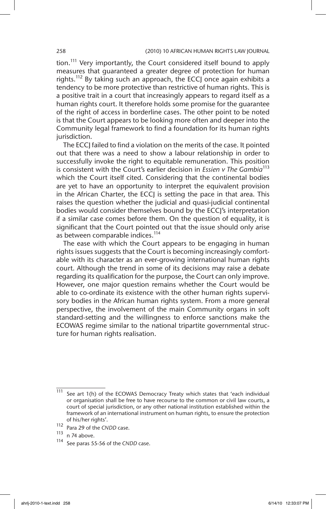tion.<sup>111</sup> Very importantly, the Court considered itself bound to apply measures that guaranteed a greater degree of protection for human rights.<sup>112</sup> By taking such an approach, the ECCJ once again exhibits a tendency to be more protective than restrictive of human rights. This is a positive trait in a court that increasingly appears to regard itself as a human rights court. It therefore holds some promise for the guarantee of the right of access in borderline cases. The other point to be noted is that the Court appears to be looking more often and deeper into the Community legal framework to find a foundation for its human rights jurisdiction.

The ECCJ failed to find a violation on the merits of the case. It pointed out that there was a need to show a labour relationship in order to successfully invoke the right to equitable remuneration. This position is consistent with the Court's earlier decision in *Essien v The Gambia*<sup>113</sup> which the Court itself cited. Considering that the continental bodies are yet to have an opportunity to interpret the equivalent provision in the African Charter, the ECCJ is setting the pace in that area. This raises the question whether the judicial and quasi-judicial continental bodies would consider themselves bound by the ECCJ's interpretation if a similar case comes before them. On the question of equality, it is significant that the Court pointed out that the issue should only arise as between comparable indices.<sup>114</sup>

The ease with which the Court appears to be engaging in human rights issues suggests that the Court is becoming increasingly comfortable with its character as an ever-growing international human rights court. Although the trend in some of its decisions may raise a debate regarding its qualification for the purpose, the Court can only improve. However, one major question remains whether the Court would be able to co-ordinate its existence with the other human rights supervisory bodies in the African human rights system. From a more general perspective, the involvement of the main Community organs in soft standard-setting and the willingness to enforce sanctions make the ECOWAS regime similar to the national tripartite governmental structure for human rights realisation.

 $\frac{111}{111}$  See art 1(h) of the ECOWAS Democracy Treaty which states that 'each individual or organisation shall be free to have recourse to the common or civil law courts, a court of special jurisdiction, or any other national institution established within the framework of an international instrument on human rights, to ensure the protection of his/her rights'.

<sup>112</sup> Para 29 of the *CNDD* case.

 $\frac{113}{114}$  n 74 above.

See paras 55-56 of the *CNDD* case.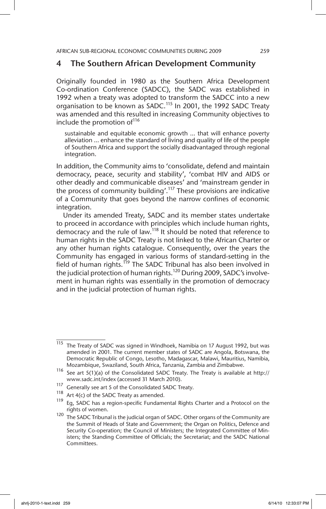# 4 The Southern African Development Community

Originally founded in 1980 as the Southern Africa Development Co-ordination Conference (SADCC), the SADC was established in 1992 when a treaty was adopted to transform the SADCC into a new organisation to be known as SADC.<sup>115</sup> In 2001, the 1992 SADC Treaty was amended and this resulted in increasing Community objectives to include the promotion of<sup>116</sup>

sustainable and equitable economic growth … that will enhance poverty alleviation … enhance the standard of living and quality of life of the people of Southern Africa and support the socially disadvantaged through regional integration.

In addition, the Community aims to 'consolidate, defend and maintain democracy, peace, security and stability', 'combat HIV and AIDS or other deadly and communicable diseases' and 'mainstream gender in the process of community building'.117 These provisions are indicative of a Community that goes beyond the narrow confines of economic integration.

Under its amended Treaty, SADC and its member states undertake to proceed in accordance with principles which include human rights, democracy and the rule of law.<sup>118</sup> It should be noted that reference to human rights in the SADC Treaty is not linked to the African Charter or any other human rights catalogue. Consequently, over the years the Community has engaged in various forms of standard-setting in the field of human rights.<sup>119</sup> The SADC Tribunal has also been involved in the judicial protection of human rights.<sup>120</sup> During 2009, SADC's involvement in human rights was essentially in the promotion of democracy and in the judicial protection of human rights.

 $\frac{115}{115}$  The Treaty of SADC was signed in Windhoek, Namibia on 17 August 1992, but was amended in 2001. The current member states of SADC are Angola, Botswana, the Democratic Republic of Congo, Lesotho, Madagascar, Malawi, Mauritius, Namibia, Mozambique, Swaziland, South Africa, Tanzania, Zambia and Zimbabwe.

<sup>116</sup> See art 5(1)(a) of the Consolidated SADC Treaty. The Treaty is available at http:// www.sadc.int/index (accessed 31 March 2010).

<sup>&</sup>lt;sup>117</sup> Generally see art 5 of the Consolidated SADC Treaty.<br><sup>118</sup> A. (*A)*  $\frac{15}{2}$  the SADC Treaty as a granded

<sup>&</sup>lt;sup>118</sup> Art 4(c) of the SADC Treaty as amended.<br><sup>119</sup> Eq. SADC has a region apositic European

Eg, SADC has a region-specific Fundamental Rights Charter and a Protocol on the rights of women.

<sup>120</sup> The SADC Tribunal is the judicial organ of SADC. Other organs of the Community are the Summit of Heads of State and Government; the Organ on Politics, Defence and Security Co-operation; the Council of Ministers; the Integrated Committee of Ministers; the Standing Committee of Officials; the Secretariat; and the SADC National Committees.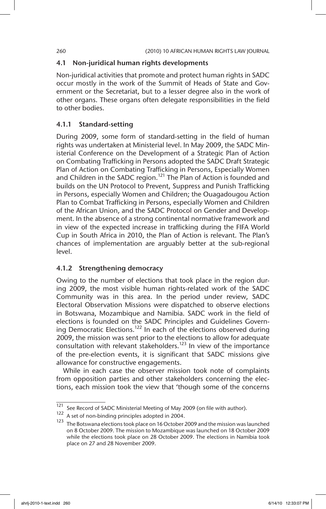### 4.1 Non-juridical human rights developments

Non-juridical activities that promote and protect human rights in SADC occur mostly in the work of the Summit of Heads of State and Government or the Secretariat, but to a lesser degree also in the work of other organs. These organs often delegate responsibilities in the field to other bodies.

### 4.1.1 Standard-setting

During 2009, some form of standard-setting in the field of human rights was undertaken at Ministerial level. In May 2009, the SADC Ministerial Conference on the Development of a Strategic Plan of Action on Combating Trafficking in Persons adopted the SADC Draft Strategic Plan of Action on Combating Trafficking in Persons, Especially Women and Children in the SADC region.<sup>121</sup> The Plan of Action is founded and builds on the UN Protocol to Prevent, Suppress and Punish Trafficking in Persons, especially Women and Children; the Ouagadougou Action Plan to Combat Trafficking in Persons, especially Women and Children of the African Union, and the SADC Protocol on Gender and Development. In the absence of a strong continental normative framework and in view of the expected increase in trafficking during the FIFA World Cup in South Africa in 2010, the Plan of Action is relevant. The Plan's chances of implementation are arguably better at the sub-regional level.

### 4.1.2 Strengthening democracy

Owing to the number of elections that took place in the region during 2009, the most visible human rights-related work of the SADC Community was in this area. In the period under review, SADC Electoral Observation Missions were dispatched to observe elections in Botswana, Mozambique and Namibia. SADC work in the field of elections is founded on the SADC Principles and Guidelines Governing Democratic Elections.<sup>122</sup> In each of the elections observed during 2009, the mission was sent prior to the elections to allow for adequate consultation with relevant stakeholders.<sup>123</sup> In view of the importance of the pre-election events, it is significant that SADC missions give allowance for constructive engagements.

While in each case the observer mission took note of complaints from opposition parties and other stakeholders concerning the elections, each mission took the view that 'though some of the concerns

<sup>&</sup>lt;sup>121</sup> See Record of SADC Ministerial Meeting of May 2009 (on file with author).

<sup>122</sup> A set of non-binding principles adopted in 2004.

<sup>123</sup> The Botswana elections took place on 16 October 2009 and the mission was launched on 8 October 2009. The mission to Mozambique was launched on 18 October 2009 while the elections took place on 28 October 2009. The elections in Namibia took place on 27 and 28 November 2009.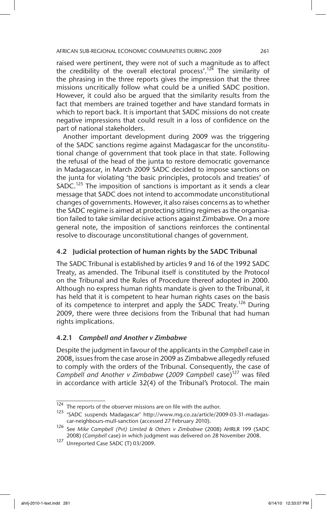raised were pertinent, they were not of such a magnitude as to affect the credibility of the overall electoral process'.<sup>124</sup> The similarity of the phrasing in the three reports gives the impression that the three missions uncritically follow what could be a unified SADC position. However, it could also be argued that the similarity results from the fact that members are trained together and have standard formats in which to report back. It is important that SADC missions do not create negative impressions that could result in a loss of confidence on the part of national stakeholders.

Another important development during 2009 was the triggering of the SADC sanctions regime against Madagascar for the unconstitutional change of government that took place in that state. Following the refusal of the head of the junta to restore democratic governance in Madagascar, in March 2009 SADC decided to impose sanctions on the junta for violating 'the basic principles, protocols and treaties' of  $SADC.<sup>125</sup>$  The imposition of sanctions is important as it sends a clear message that SADC does not intend to accommodate unconstitutional changes of governments. However, it also raises concerns as to whether the SADC regime is aimed at protecting sitting regimes as the organisation failed to take similar decisive actions against Zimbabwe. On a more general note, the imposition of sanctions reinforces the continental resolve to discourage unconstitutional changes of government.

# 4.2 Judicial protection of human rights by the SADC Tribunal

The SADC Tribunal is established by articles 9 and 16 of the 1992 SADC Treaty, as amended. The Tribunal itself is constituted by the Protocol on the Tribunal and the Rules of Procedure thereof adopted in 2000. Although no express human rights mandate is given to the Tribunal, it has held that it is competent to hear human rights cases on the basis of its competence to interpret and apply the SADC Treaty.<sup>126</sup> During 2009, there were three decisions from the Tribunal that had human rights implications.

### 4.2.1 *Campbell and Another v Zimbabwe*

Despite the judgment in favour of the applicants in the *Campbell* case in 2008, issues from the case arose in 2009 as Zimbabwe allegedly refused to comply with the orders of the Tribunal. Consequently, the case of *Campbell and Another v Zimbabwe* (*2009 Campbell* case)127 was filed in accordance with article 32(4) of the Tribunal's Protocol. The main

 $124$  The reports of the observer missions are on file with the author.

<sup>125</sup> 'SADC suspends Madagascar' http://www.mg.co.za/article/2009-03-31-madagascar-neighbours-mull-sanction (accessed 27 February 2010).

<sup>126</sup> See *Mike Campbell (Pvt) Limited & Others v Zimbabwe* (2008) AHRLR 199 (SADC 2008) (*Campbell* case) in which judgment was delivered on 28 November 2008.

<sup>127</sup> Unreported Case SADC (T) 03/2009.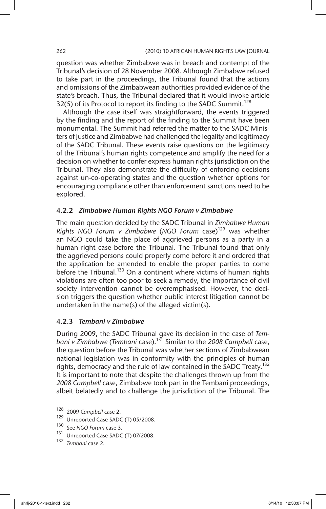question was whether Zimbabwe was in breach and contempt of the Tribunal's decision of 28 November 2008. Although Zimbabwe refused to take part in the proceedings, the Tribunal found that the actions and omissions of the Zimbabwean authorities provided evidence of the state's breach. Thus, the Tribunal declared that it would invoke article 32(5) of its Protocol to report its finding to the SADC Summit.<sup>128</sup>

Although the case itself was straightforward, the events triggered by the finding and the report of the finding to the Summit have been monumental. The Summit had referred the matter to the SADC Ministers of Justice and Zimbabwe had challenged the legality and legitimacy of the SADC Tribunal. These events raise questions on the legitimacy of the Tribunal's human rights competence and amplify the need for a decision on whether to confer express human rights jurisdiction on the Tribunal. They also demonstrate the difficulty of enforcing decisions against un-co-operating states and the question whether options for encouraging compliance other than enforcement sanctions need to be explored.

### 4.2.2 *Zimbabwe Human Rights NGO Forum v Zimbabwe*

The main question decided by the SADC Tribunal in *Zimbabwe Human Rights NGO Forum v Zimbabwe (NGO Forum case)*<sup>129</sup> was whether an NGO could take the place of aggrieved persons as a party in a human right case before the Tribunal. The Tribunal found that only the aggrieved persons could properly come before it and ordered that the application be amended to enable the proper parties to come before the Tribunal.<sup>130</sup> On a continent where victims of human rights violations are often too poor to seek a remedy, the importance of civil society intervention cannot be overemphasised. However, the decision triggers the question whether public interest litigation cannot be undertaken in the name(s) of the alleged victim(s).

# 4.2.3 *Tembani v Zimbabwe*

During 2009, the SADC Tribunal gave its decision in the case of *Tembani v Zimbabwe* (*Tembani* case).131 Similar to the *2008 Campbell* case, the question before the Tribunal was whether sections of Zimbabwean national legislation was in conformity with the principles of human rights, democracy and the rule of law contained in the SADC Treaty.<sup>132</sup> It is important to note that despite the challenges thrown up from the *2008 Campbell* case, Zimbabwe took part in the Tembani proceedings, albeit belatedly and to challenge the jurisdiction of the Tribunal. The

<sup>128</sup> 2009 *Campbell* case 2.

<sup>129</sup> Unreported Case SADC (T) 05/2008.

<sup>130</sup> See *NGO Forum* case 3.<br><sup>131</sup> Unreported Case SADC

Unreported Case SADC (T) 07/2008.

<sup>132</sup> *Tembani* case 2.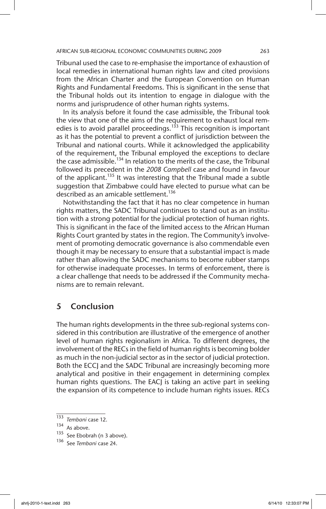Tribunal used the case to re-emphasise the importance of exhaustion of local remedies in international human rights law and cited provisions from the African Charter and the European Convention on Human Rights and Fundamental Freedoms. This is significant in the sense that the Tribunal holds out its intention to engage in dialogue with the norms and jurisprudence of other human rights systems.

In its analysis before it found the case admissible, the Tribunal took the view that one of the aims of the requirement to exhaust local remedies is to avoid parallel proceedings.<sup>133</sup> This recognition is important as it has the potential to prevent a conflict of jurisdiction between the Tribunal and national courts. While it acknowledged the applicability of the requirement, the Tribunal employed the exceptions to declare the case admissible.<sup>134</sup> In relation to the merits of the case, the Tribunal followed its precedent in the *2008 Campbell* case and found in favour of the applicant.<sup>135</sup> It was interesting that the Tribunal made a subtle suggestion that Zimbabwe could have elected to pursue what can be described as an amicable settlement.<sup>136</sup>

Notwithstanding the fact that it has no clear competence in human rights matters, the SADC Tribunal continues to stand out as an institution with a strong potential for the judicial protection of human rights. This is significant in the face of the limited access to the African Human Rights Court granted by states in the region. The Community's involvement of promoting democratic governance is also commendable even though it may be necessary to ensure that a substantial impact is made rather than allowing the SADC mechanisms to become rubber stamps for otherwise inadequate processes. In terms of enforcement, there is a clear challenge that needs to be addressed if the Community mechanisms are to remain relevant.

# 5 Conclusion

The human rights developments in the three sub-regional systems considered in this contribution are illustrative of the emergence of another level of human rights regionalism in Africa. To different degrees, the involvement of the RECs in the field of human rights is becoming bolder as much in the non-judicial sector as in the sector of judicial protection. Both the ECCJ and the SADC Tribunal are increasingly becoming more analytical and positive in their engagement in determining complex human rights questions. The EACJ is taking an active part in seeking the expansion of its competence to include human rights issues. RECs

<sup>133</sup> *Tembani* case 12.

As above.

<sup>135</sup> See Ebobrah (n 3 above).

<sup>136</sup> See *Tembani* case 24.